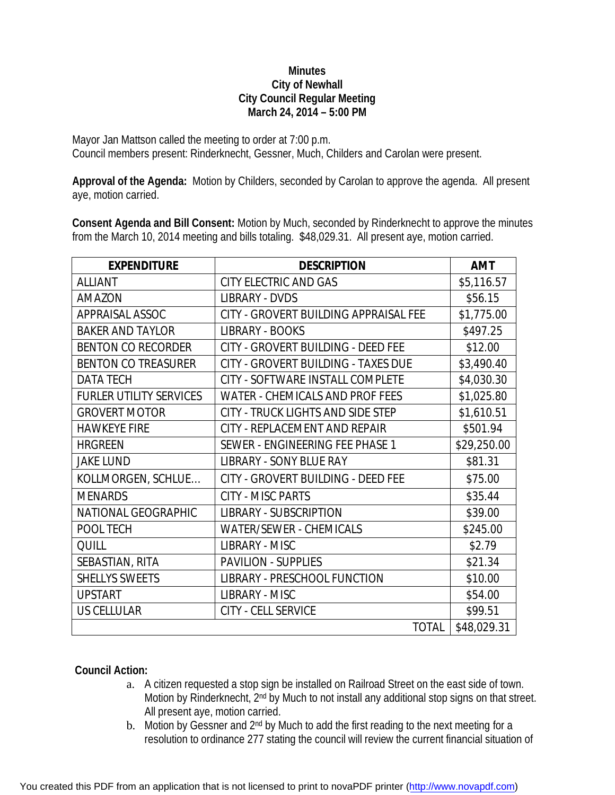## **Minutes City of Newhall City Council Regular Meeting March 24, 2014 – 5:00 PM**

Mayor Jan Mattson called the meeting to order at 7:00 p.m. Council members present: Rinderknecht, Gessner, Much, Childers and Carolan were present.

**Approval of the Agenda:** Motion by Childers, seconded by Carolan to approve the agenda. All present aye, motion carried.

**Consent Agenda and Bill Consent:** Motion by Much, seconded by Rinderknecht to approve the minutes from the March 10, 2014 meeting and bills totaling. \$48,029.31. All present aye, motion carried.

| <b>EXPENDITURE</b>             | <b>DESCRIPTION</b>                     | <b>AMT</b>  |
|--------------------------------|----------------------------------------|-------------|
| <b>ALLIANT</b>                 | <b>CITY ELECTRIC AND GAS</b>           | \$5,116.57  |
| <b>AMAZON</b>                  | <b>LIBRARY - DVDS</b>                  | \$56.15     |
| APPRAISAL ASSOC                | CITY - GROVERT BUILDING APPRAISAL FEE  | \$1,775.00  |
| <b>BAKER AND TAYLOR</b>        | <b>LIBRARY - BOOKS</b>                 | \$497.25    |
| <b>BENTON CO RECORDER</b>      | CITY - GROVERT BUILDING - DEED FEE     | \$12.00     |
| <b>BENTON CO TREASURER</b>     | CITY - GROVERT BUILDING - TAXES DUE    | \$3,490.40  |
| <b>DATA TECH</b>               | CITY - SOFTWARE INSTALL COMPLETE       | \$4,030.30  |
| <b>FURLER UTILITY SERVICES</b> | <b>WATER - CHEMICALS AND PROF FEES</b> | \$1,025.80  |
| <b>GROVERT MOTOR</b>           | CITY - TRUCK LIGHTS AND SIDE STEP      | \$1,610.51  |
| <b>HAWKEYE FIRE</b>            | CITY - REPLACEMENT AND REPAIR          | \$501.94    |
| <b>HRGREEN</b>                 | SEWER - ENGINEERING FEE PHASE 1        | \$29,250.00 |
| <b>JAKE LUND</b>               | <b>LIBRARY - SONY BLUE RAY</b>         | \$81.31     |
| KOLLMORGEN, SCHLUE             | CITY - GROVERT BUILDING - DEED FEE     | \$75.00     |
| <b>MENARDS</b>                 | <b>CITY - MISC PARTS</b>               | \$35.44     |
| <b>NATIONAL GEOGRAPHIC</b>     | <b>LIBRARY - SUBSCRIPTION</b>          | \$39.00     |
| POOL TECH                      | <b>WATER/SEWER - CHEMICALS</b>         | \$245.00    |
| <b>QUILL</b>                   | LIBRARY - MISC                         | \$2.79      |
| SEBASTIAN, RITA                | <b>PAVILION - SUPPLIES</b>             | \$21.34     |
| <b>SHELLYS SWEETS</b>          | <b>LIBRARY - PRESCHOOL FUNCTION</b>    | \$10.00     |
| <b>UPSTART</b>                 | LIBRARY - MISC                         | \$54.00     |
| <b>US CELLULAR</b>             | <b>CITY - CELL SERVICE</b>             | \$99.51     |
|                                | <b>TOTAL</b>                           | \$48,029.31 |

## **Council Action:**

- a. A citizen requested a stop sign be installed on Railroad Street on the east side of town. Motion by Rinderknecht, 2<sup>nd</sup> by Much to not install any additional stop signs on that street. All present aye, motion carried.
- b. Motion by Gessner and 2<sup>nd</sup> by Much to add the first reading to the next meeting for a resolution to ordinance 277 stating the council will review the current financial situation of